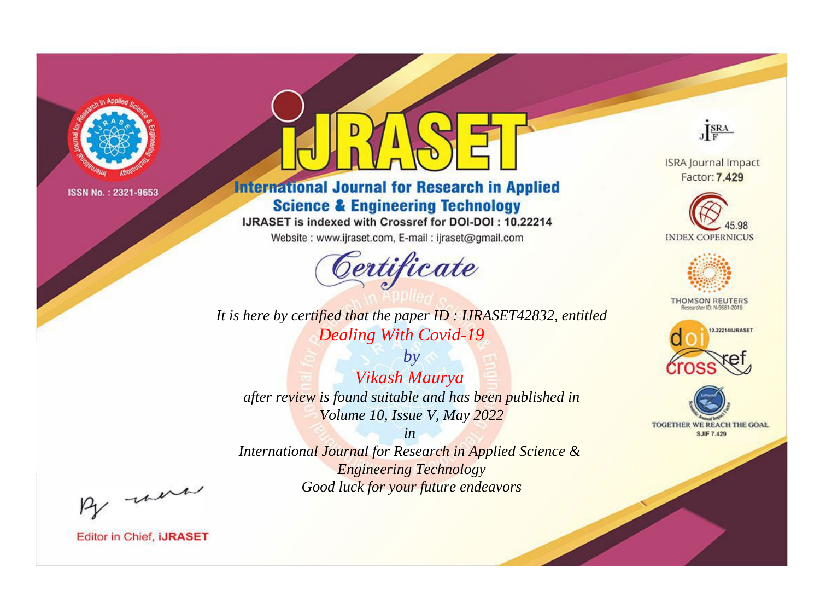

# **International Journal for Research in Applied Science & Engineering Technology**

IJRASET is indexed with Crossref for DOI-DOI: 10.22214

Website: www.ijraset.com, E-mail: ijraset@gmail.com



*It is here by certified that the paper ID : IJRASET42832, entitled Dealing With Covid-19*

*by Vikash Maurya after review is found suitable and has been published in Volume 10, Issue V, May 2022*

*in International Journal for Research in Applied Science & Engineering Technology Good luck for your future endeavors*



**ISRA Journal Impact** Factor: 7.429





**THOMSON REUTERS** 





By morn

**Editor in Chief, IJRASET**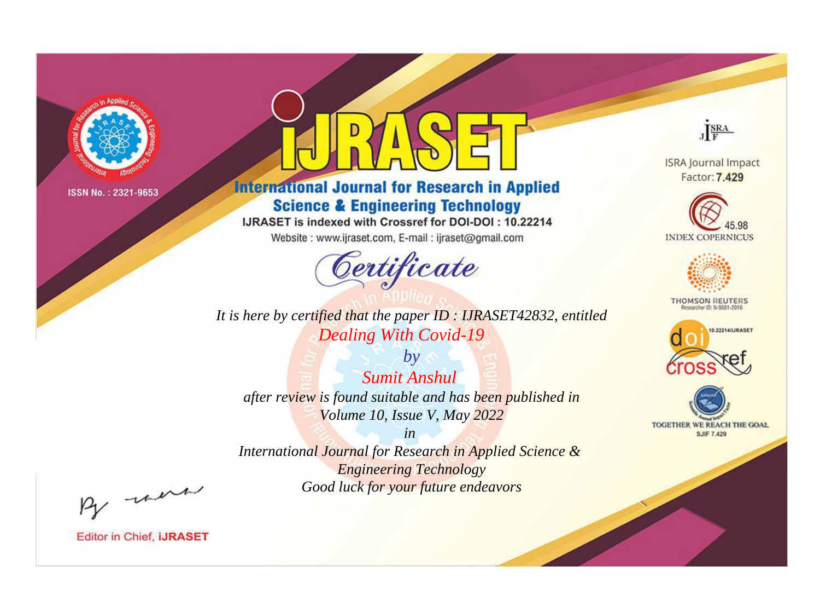

# **International Journal for Research in Applied Science & Engineering Technology**

IJRASET is indexed with Crossref for DOI-DOI: 10.22214

Website: www.ijraset.com, E-mail: ijraset@gmail.com



*It is here by certified that the paper ID : IJRASET42832, entitled Dealing With Covid-19*

*by Sumit Anshul after review is found suitable and has been published in Volume 10, Issue V, May 2022*

*in International Journal for Research in Applied Science & Engineering Technology Good luck for your future endeavors*



**Editor in Chief, IJRASET** 

**ISRA Journal Impact** Factor: 7.429

JERA





**THOMSON REUTERS** 



TOGETHER WE REACH THE GOAL **SJIF 7.429**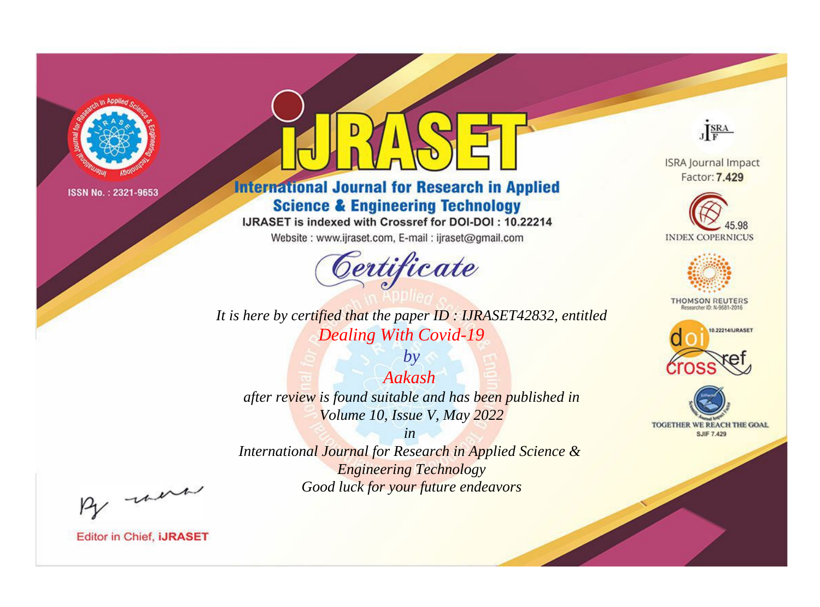

# **International Journal for Research in Applied Science & Engineering Technology**

IJRASET is indexed with Crossref for DOI-DOI: 10.22214

Website: www.ijraset.com, E-mail: ijraset@gmail.com



*It is here by certified that the paper ID : IJRASET42832, entitled Dealing With Covid-19*

*by Aakash after review is found suitable and has been published in Volume 10, Issue V, May 2022*

*in International Journal for Research in Applied Science & Engineering Technology Good luck for your future endeavors*



**Editor in Chief, IJRASET** 

**ISRA Journal Impact** Factor: 7.429

JERA





**THOMSON REUTERS** 



TOGETHER WE REACH THE GOAL **SJIF 7.429**